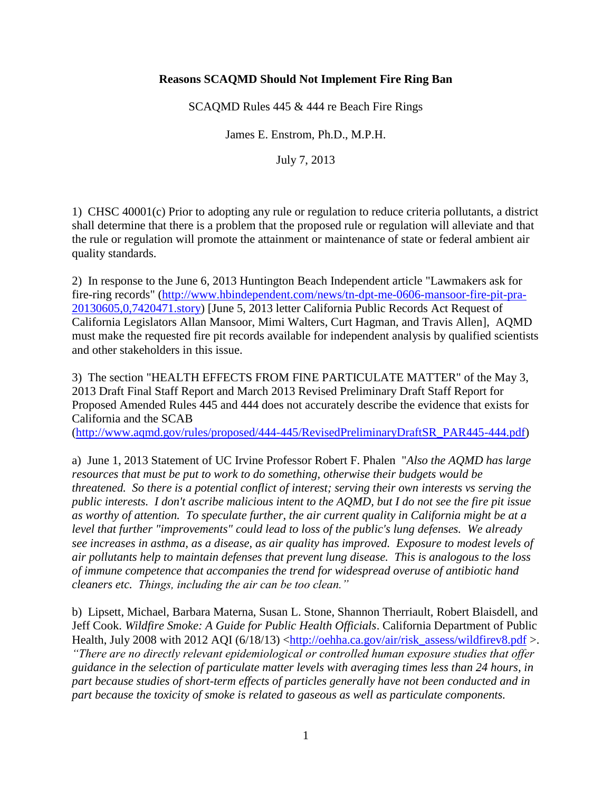## **Reasons SCAQMD Should Not Implement Fire Ring Ban**

SCAQMD Rules 445 & 444 re Beach Fire Rings

James E. Enstrom, Ph.D., M.P.H.

July 7, 2013

1) CHSC 40001(c) Prior to adopting any rule or regulation to reduce criteria pollutants, a district shall determine that there is a problem that the proposed rule or regulation will alleviate and that the rule or regulation will promote the attainment or maintenance of state or federal ambient air quality standards.

2) In response to the June 6, 2013 Huntington Beach Independent article "Lawmakers ask for fire-ring records" [\(http://www.hbindependent.com/news/tn-dpt-me-0606-mansoor-fire-pit-pra-](http://www.hbindependent.com/news/tn-dpt-me-0606-mansoor-fire-pit-pra-20130605,0,7420471.story)[20130605,0,7420471.story\)](http://www.hbindependent.com/news/tn-dpt-me-0606-mansoor-fire-pit-pra-20130605,0,7420471.story) [June 5, 2013 letter California Public Records Act Request of California Legislators Allan Mansoor, Mimi Walters, Curt Hagman, and Travis Allen], AQMD must make the requested fire pit records available for independent analysis by qualified scientists and other stakeholders in this issue.

3) The section "HEALTH EFFECTS FROM FINE PARTICULATE MATTER" of the May 3, 2013 Draft Final Staff Report and March 2013 Revised Preliminary Draft Staff Report for Proposed Amended Rules 445 and 444 does not accurately describe the evidence that exists for California and the SCAB

[\(http://www.aqmd.gov/rules/proposed/444-445/RevisedPreliminaryDraftSR\\_PAR445-444.pdf\)](http://www.aqmd.gov/rules/proposed/444-445/RevisedPreliminaryDraftSR_PAR445-444.pdf)

a) June 1, 2013 Statement of UC Irvine Professor Robert F. Phalen "*Also the AQMD has large resources that must be put to work to do something, otherwise their budgets would be threatened. So there is a potential conflict of interest; serving their own interests vs serving the public interests. I don't ascribe malicious intent to the AQMD, but I do not see the fire pit issue as worthy of attention. To speculate further, the air current quality in California might be at a level that further "improvements" could lead to loss of the public's lung defenses. We already see increases in asthma, as a disease, as air quality has improved. Exposure to modest levels of air pollutants help to maintain defenses that prevent lung disease. This is analogous to the loss of immune competence that accompanies the trend for widespread overuse of antibiotic hand cleaners etc. Things, including the air can be too clean."*

b) Lipsett, Michael, Barbara Materna, Susan L. Stone, Shannon Therriault, Robert Blaisdell, and Jeff Cook. *Wildfire Smoke: A Guide for Public Health Officials*. California Department of Public Health, July 2008 with 2012 AQI (6/18/13) [<http://oehha.ca.gov/air/risk\\_assess/wildfirev8.pdf](http://oehha.ca.gov/air/risk_assess/wildfirev8.pdf) >. *"There are no directly relevant epidemiological or controlled human exposure studies that offer guidance in the selection of particulate matter levels with averaging times less than 24 hours, in part because studies of short-term effects of particles generally have not been conducted and in part because the toxicity of smoke is related to gaseous as well as particulate components.*